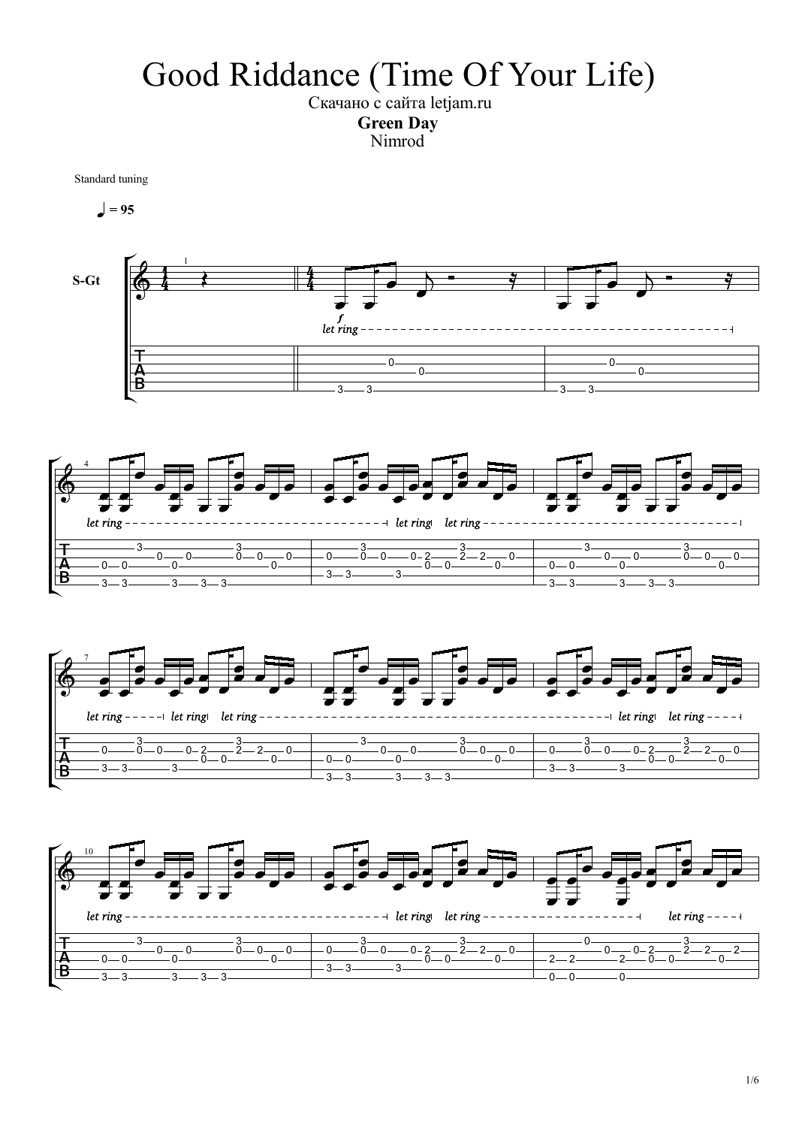## Good Riddance (Time Of Your Life)

Скачано с сайта letjam.ru Green Day Nimrod

Standard tuning

 $= 95$ 







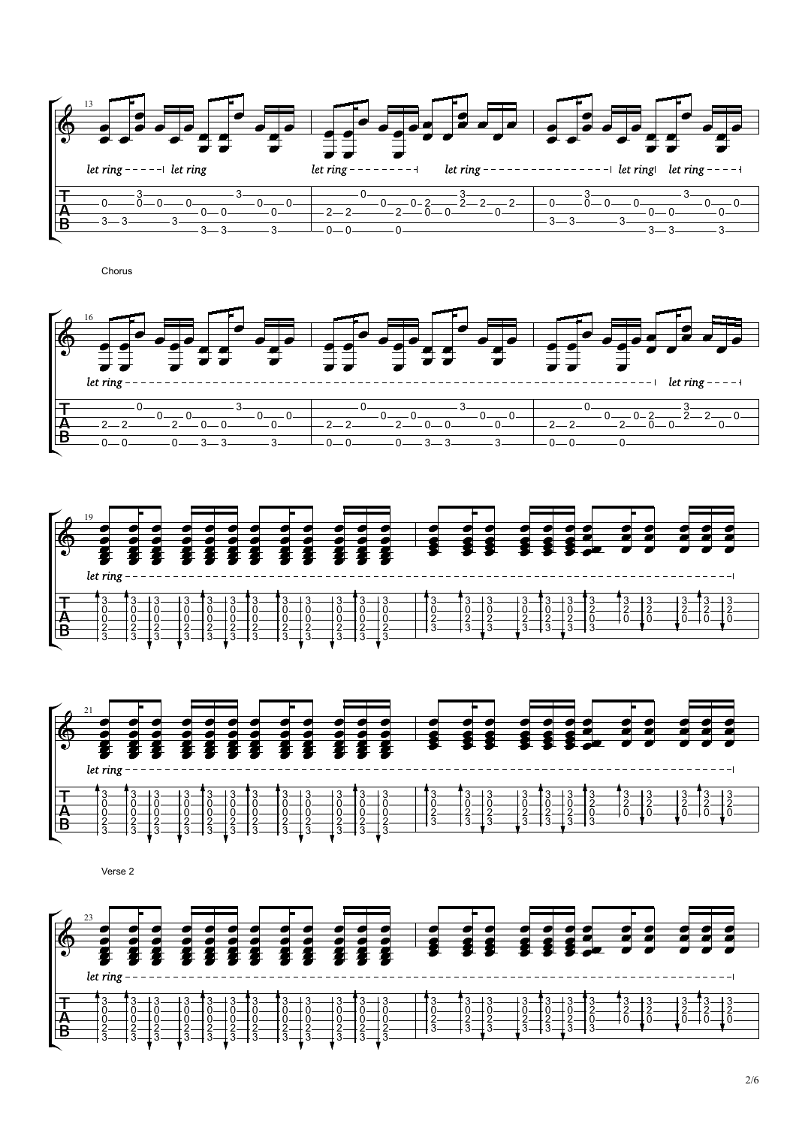

Chorus







Verse 2

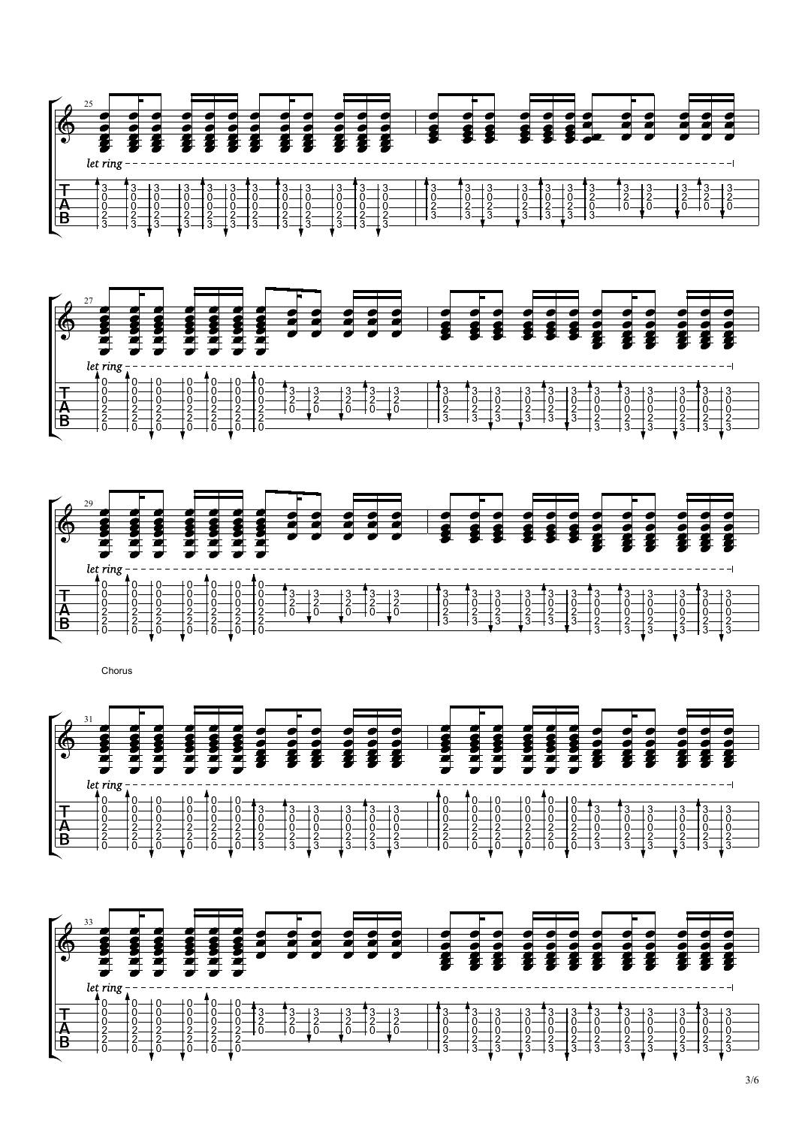





**Chorus Chorus** 



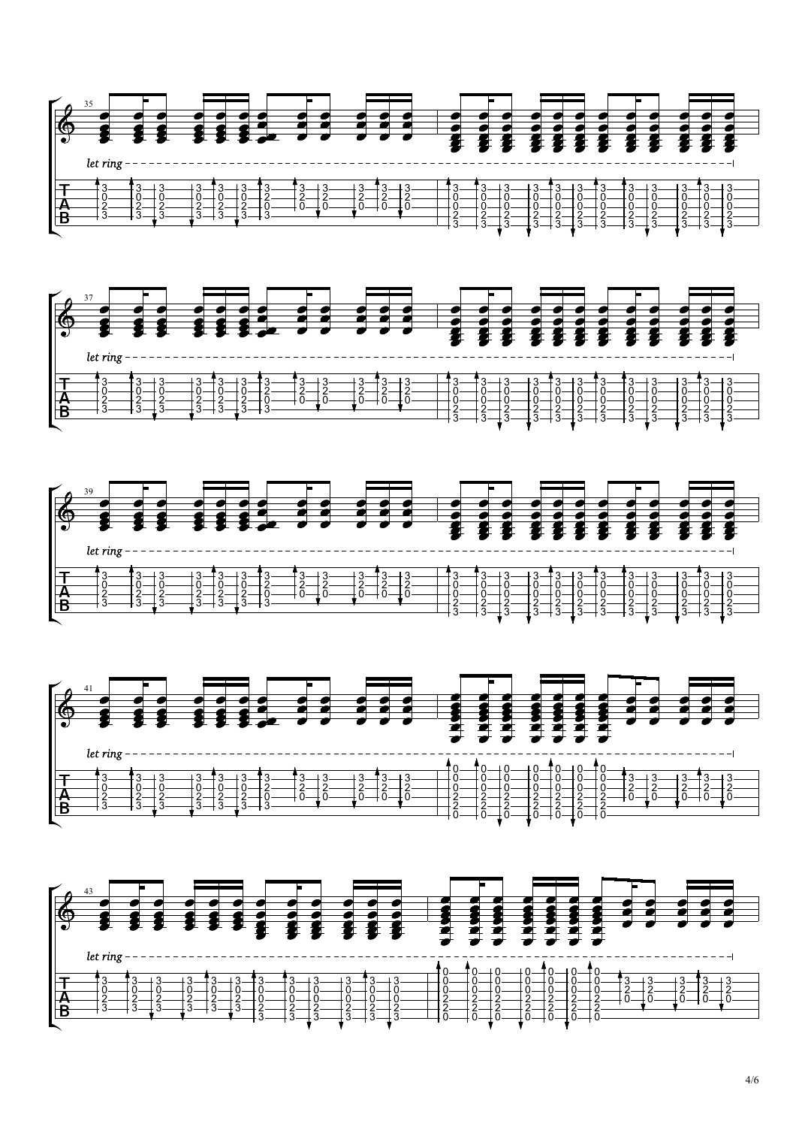







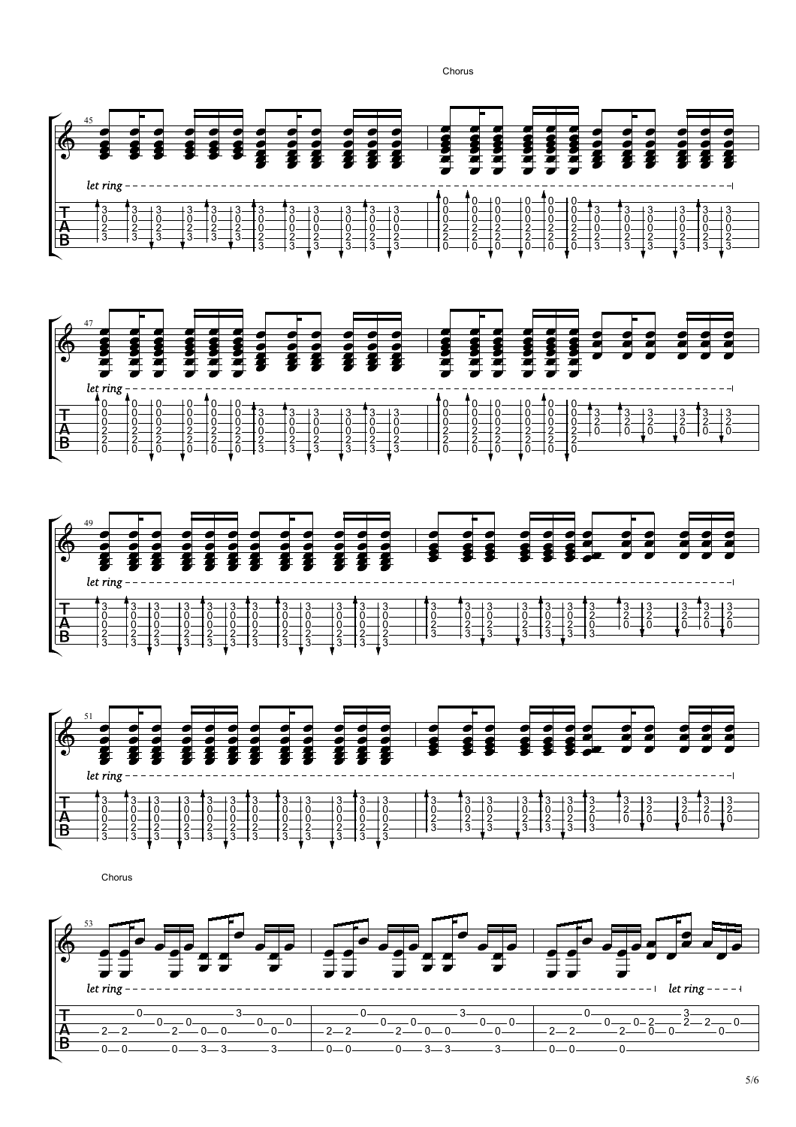Chorus









**Chorus**